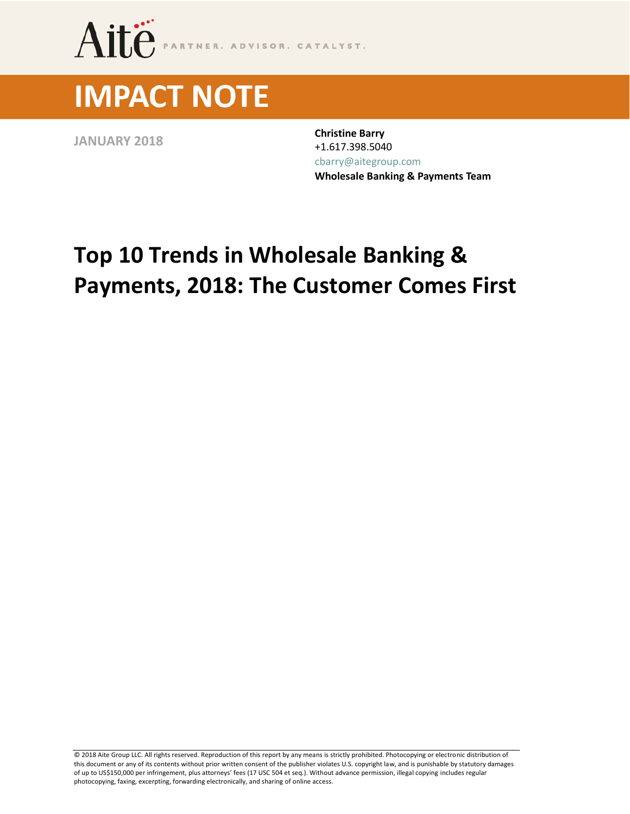

# **IMPACT NOTE**

**JANUARY <sup>2018</sup> Christine Barry** +1.617.398.5040 [cbarry@aitegroup.com](mailto:cbarry@aitegroup.com) **Wholesale Banking & Payments Team**

# **Top 10 Trends in Wholesale Banking & Payments, 2018: The Customer Comes First**

© 2018 Aite Group LLC. All rights reserved. Reproduction of this report by any means is strictly prohibited. Photocopying or electronic distribution of this document or any of its contents without prior written consent of the publisher violates U.S. copyright law, and is punishable by statutory damages of up to US\$150,000 per infringement, plus attorneys' fees (17 USC 504 et seq.). Without advance permission, illegal copying includes regular photocopying, faxing, excerpting, forwarding electronically, and sharing of online access.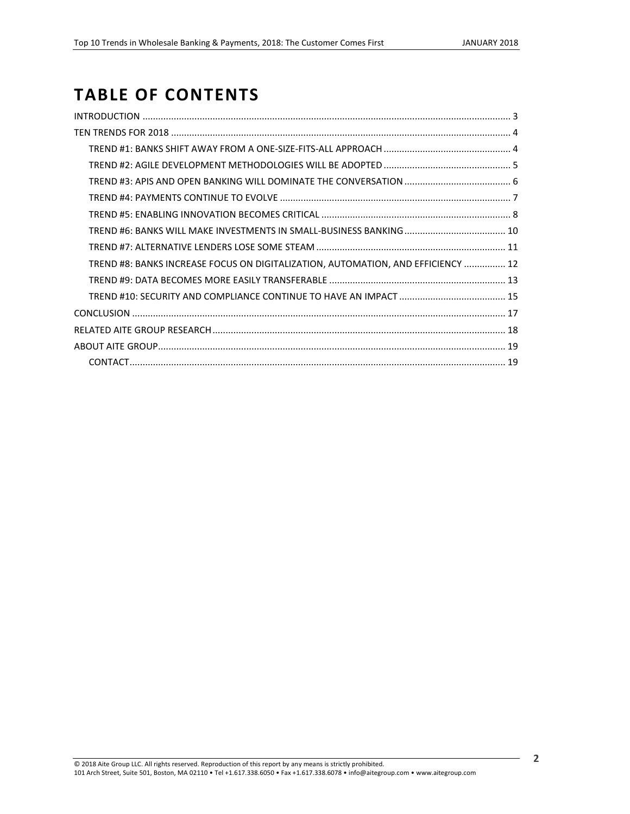# **TABLE OF CONTENTS**

| TREND #8: BANKS INCREASE FOCUS ON DIGITALIZATION, AUTOMATION, AND EFFICIENCY  12 |  |
|----------------------------------------------------------------------------------|--|
|                                                                                  |  |
|                                                                                  |  |
|                                                                                  |  |
|                                                                                  |  |
|                                                                                  |  |
|                                                                                  |  |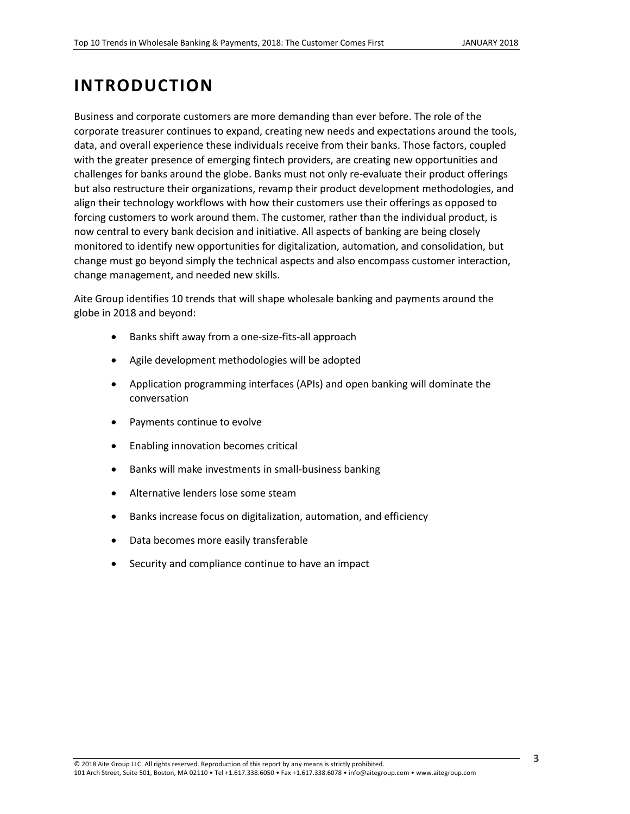# <span id="page-2-0"></span>**INTRODUCTION**

Business and corporate customers are more demanding than ever before. The role of the corporate treasurer continues to expand, creating new needs and expectations around the tools, data, and overall experience these individuals receive from their banks. Those factors, coupled with the greater presence of emerging fintech providers, are creating new opportunities and challenges for banks around the globe. Banks must not only re-evaluate their product offerings but also restructure their organizations, revamp their product development methodologies, and align their technology workflows with how their customers use their offerings as opposed to forcing customers to work around them. The customer, rather than the individual product, is now central to every bank decision and initiative. All aspects of banking are being closely monitored to identify new opportunities for digitalization, automation, and consolidation, but change must go beyond simply the technical aspects and also encompass customer interaction, change management, and needed new skills.

Aite Group identifies 10 trends that will shape wholesale banking and payments around the globe in 2018 and beyond:

- Banks shift away from a one-size-fits-all approach
- Agile development methodologies will be adopted
- Application programming interfaces (APIs) and open banking will dominate the conversation
- Payments continue to evolve
- Enabling innovation becomes critical
- Banks will make investments in small-business banking
- Alternative lenders lose some steam
- Banks increase focus on digitalization, automation, and efficiency
- Data becomes more easily transferable
- Security and compliance continue to have an impact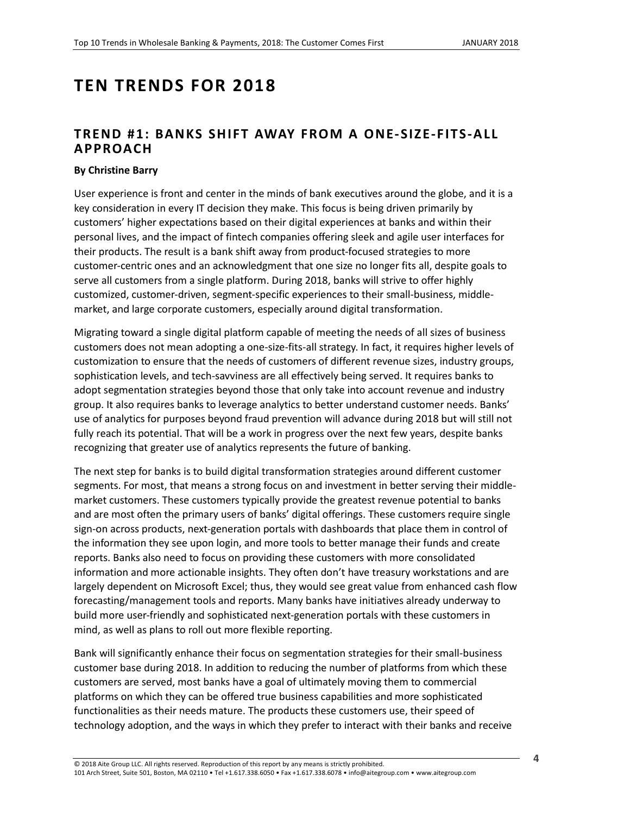# <span id="page-3-0"></span>**TEN TRENDS FOR 2018**

## <span id="page-3-1"></span>**TREND #1: BANKS SHIFT AWAY FROM A ONE-SIZE-FITS-ALL APPROACH**

#### **By Christine Barry**

User experience is front and center in the minds of bank executives around the globe, and it is a key consideration in every IT decision they make. This focus is being driven primarily by customers' higher expectations based on their digital experiences at banks and within their personal lives, and the impact of fintech companies offering sleek and agile user interfaces for their products. The result is a bank shift away from product-focused strategies to more customer-centric ones and an acknowledgment that one size no longer fits all, despite goals to serve all customers from a single platform. During 2018, banks will strive to offer highly customized, customer-driven, segment-specific experiences to their small-business, middlemarket, and large corporate customers, especially around digital transformation.

Migrating toward a single digital platform capable of meeting the needs of all sizes of business customers does not mean adopting a one-size-fits-all strategy. In fact, it requires higher levels of customization to ensure that the needs of customers of different revenue sizes, industry groups, sophistication levels, and tech-savviness are all effectively being served. It requires banks to adopt segmentation strategies beyond those that only take into account revenue and industry group. It also requires banks to leverage analytics to better understand customer needs. Banks' use of analytics for purposes beyond fraud prevention will advance during 2018 but will still not fully reach its potential. That will be a work in progress over the next few years, despite banks recognizing that greater use of analytics represents the future of banking.

The next step for banks is to build digital transformation strategies around different customer segments. For most, that means a strong focus on and investment in better serving their middlemarket customers. These customers typically provide the greatest revenue potential to banks and are most often the primary users of banks' digital offerings. These customers require single sign-on across products, next-generation portals with dashboards that place them in control of the information they see upon login, and more tools to better manage their funds and create reports. Banks also need to focus on providing these customers with more consolidated information and more actionable insights. They often don't have treasury workstations and are largely dependent on Microsoft Excel; thus, they would see great value from enhanced cash flow forecasting/management tools and reports. Many banks have initiatives already underway to build more user-friendly and sophisticated next-generation portals with these customers in mind, as well as plans to roll out more flexible reporting.

Bank will significantly enhance their focus on segmentation strategies for their small-business customer base during 2018. In addition to reducing the number of platforms from which these customers are served, most banks have a goal of ultimately moving them to commercial platforms on which they can be offered true business capabilities and more sophisticated functionalities as their needs mature. The products these customers use, their speed of technology adoption, and the ways in which they prefer to interact with their banks and receive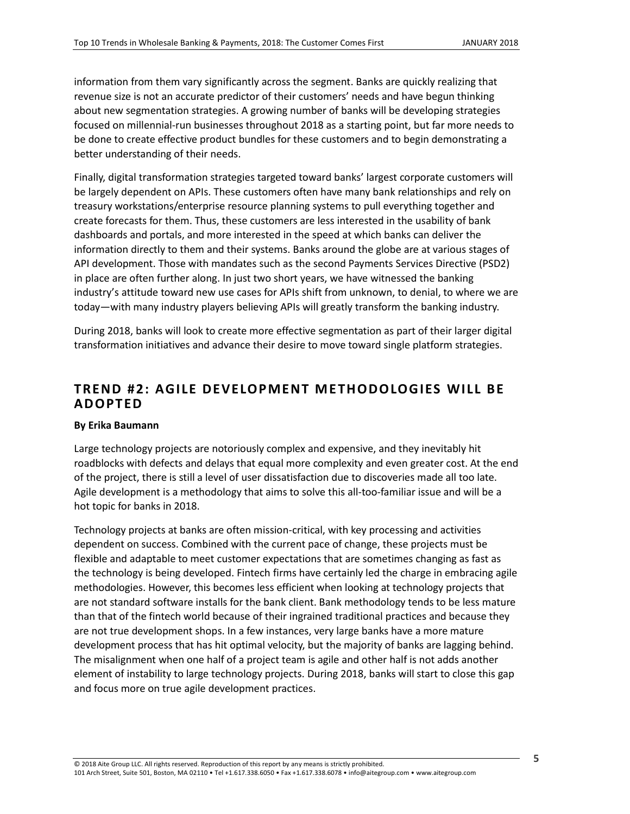information from them vary significantly across the segment. Banks are quickly realizing that revenue size is not an accurate predictor of their customers' needs and have begun thinking about new segmentation strategies. A growing number of banks will be developing strategies focused on millennial-run businesses throughout 2018 as a starting point, but far more needs to be done to create effective product bundles for these customers and to begin demonstrating a better understanding of their needs.

Finally, digital transformation strategies targeted toward banks' largest corporate customers will be largely dependent on APIs. These customers often have many bank relationships and rely on treasury workstations/enterprise resource planning systems to pull everything together and create forecasts for them. Thus, these customers are less interested in the usability of bank dashboards and portals, and more interested in the speed at which banks can deliver the information directly to them and their systems. Banks around the globe are at various stages of API development. Those with mandates such as the second Payments Services Directive (PSD2) in place are often further along. In just two short years, we have witnessed the banking industry's attitude toward new use cases for APIs shift from unknown, to denial, to where we are today—with many industry players believing APIs will greatly transform the banking industry.

During 2018, banks will look to create more effective segmentation as part of their larger digital transformation initiatives and advance their desire to move toward single platform strategies.

# <span id="page-4-0"></span>**TREND #2: AGILE DEVELOPMENT ME THODOLOGIES WILL BE ADOPTED**

#### **By Erika Baumann**

Large technology projects are notoriously complex and expensive, and they inevitably hit roadblocks with defects and delays that equal more complexity and even greater cost. At the end of the project, there is still a level of user dissatisfaction due to discoveries made all too late. Agile development is a methodology that aims to solve this all-too-familiar issue and will be a hot topic for banks in 2018.

Technology projects at banks are often mission-critical, with key processing and activities dependent on success. Combined with the current pace of change, these projects must be flexible and adaptable to meet customer expectations that are sometimes changing as fast as the technology is being developed. Fintech firms have certainly led the charge in embracing agile methodologies. However, this becomes less efficient when looking at technology projects that are not standard software installs for the bank client. Bank methodology tends to be less mature than that of the fintech world because of their ingrained traditional practices and because they are not true development shops. In a few instances, very large banks have a more mature development process that has hit optimal velocity, but the majority of banks are lagging behind. The misalignment when one half of a project team is agile and other half is not adds another element of instability to large technology projects. During 2018, banks will start to close this gap and focus more on true agile development practices.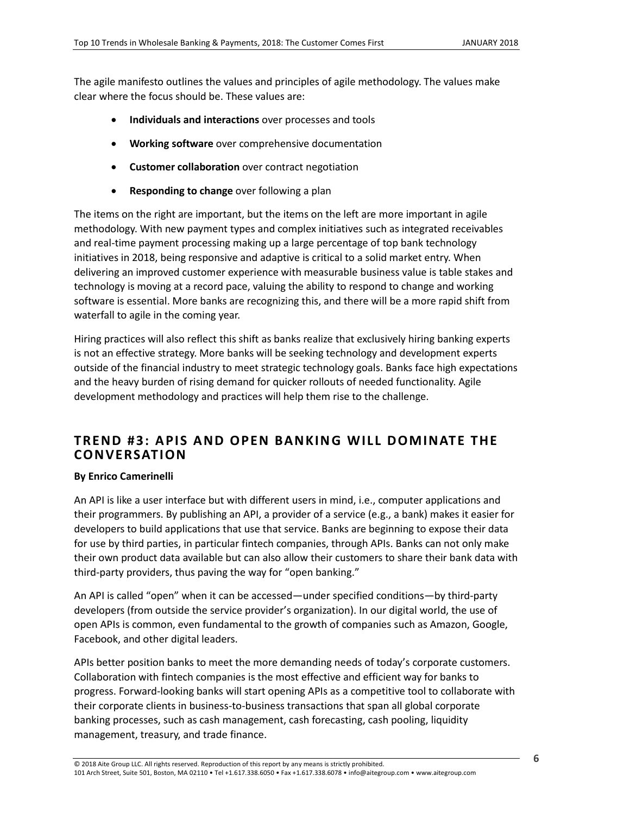The agile manifesto outlines the values and principles of agile methodology. The values make clear where the focus should be. These values are:

- x **Individuals and interactions** over processes and tools
- **Working software** over comprehensive documentation
- **Customer collaboration** over contract negotiation
- **Responding to change** over following a plan

The items on the right are important, but the items on the left are more important in agile methodology. With new payment types and complex initiatives such as integrated receivables and real-time payment processing making up a large percentage of top bank technology initiatives in 2018, being responsive and adaptive is critical to a solid market entry. When delivering an improved customer experience with measurable business value is table stakes and technology is moving at a record pace, valuing the ability to respond to change and working software is essential. More banks are recognizing this, and there will be a more rapid shift from waterfall to agile in the coming year.

Hiring practices will also reflect this shift as banks realize that exclusively hiring banking experts is not an effective strategy. More banks will be seeking technology and development experts outside of the financial industry to meet strategic technology goals. Banks face high expectations and the heavy burden of rising demand for quicker rollouts of needed functionality. Agile development methodology and practices will help them rise to the challenge.

### <span id="page-5-0"></span>**TREND #3: APIS AND OPEN BANKING WILL DOMINATE THE CONVERSATION**

#### **By Enrico Camerinelli**

An API is like a user interface but with different users in mind, i.e., computer applications and their programmers. By publishing an API, a provider of a service (e.g., a bank) makes it easier for developers to build applications that use that service. Banks are beginning to expose their data for use by third parties, in particular fintech companies, through APIs. Banks can not only make their own product data available but can also allow their customers to share their bank data with third-party providers, thus paving the way for "open banking."

An API is called "open" when it can be accessed—under specified conditions—by third-party developers (from outside the service provider's organization). In our digital world, the use of open APIs is common, even fundamental to the growth of companies such as Amazon, Google, Facebook, and other digital leaders.

APIs better position banks to meet the more demanding needs of today's corporate customers. Collaboration with fintech companies is the most effective and efficient way for banks to progress. Forward-looking banks will start opening APIs as a competitive tool to collaborate with their corporate clients in business-to-business transactions that span all global corporate banking processes, such as cash management, cash forecasting, cash pooling, liquidity management, treasury, and trade finance.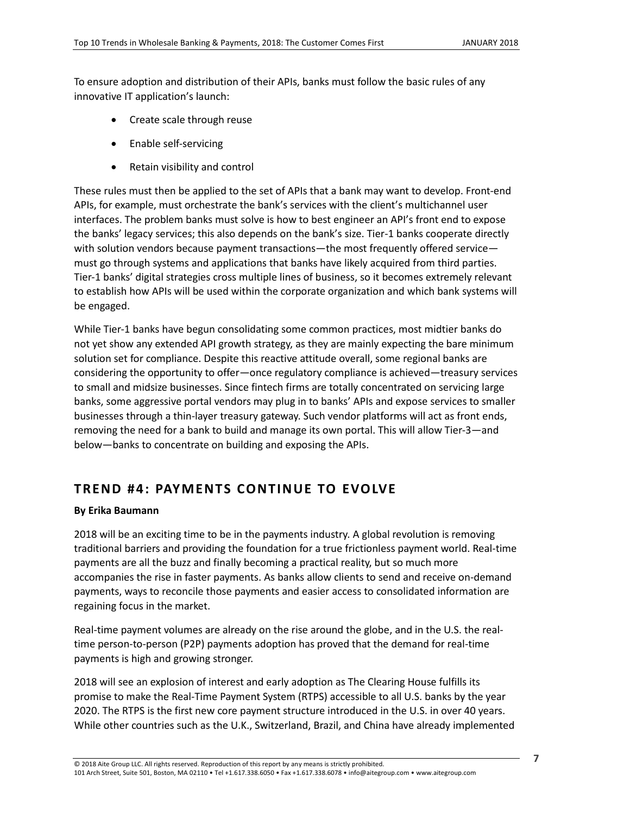To ensure adoption and distribution of their APIs, banks must follow the basic rules of any innovative IT application's launch:

- Create scale through reuse
- Enable self-servicing
- $\bullet$  Retain visibility and control

These rules must then be applied to the set of APIs that a bank may want to develop. Front-end APIs, for example, must orchestrate the bank's services with the client's multichannel user interfaces. The problem banks must solve is how to best engineer an API's front end to expose the banks' legacy services; this also depends on the bank's size. Tier-1 banks cooperate directly with solution vendors because payment transactions—the most frequently offered service must go through systems and applications that banks have likely acquired from third parties. Tier-1 banks' digital strategies cross multiple lines of business, so it becomes extremely relevant to establish how APIs will be used within the corporate organization and which bank systems will be engaged.

While Tier-1 banks have begun consolidating some common practices, most midtier banks do not yet show any extended API growth strategy, as they are mainly expecting the bare minimum solution set for compliance. Despite this reactive attitude overall, some regional banks are considering the opportunity to offer—once regulatory compliance is achieved—treasury services to small and midsize businesses. Since fintech firms are totally concentrated on servicing large banks, some aggressive portal vendors may plug in to banks' APIs and expose services to smaller businesses through a thin-layer treasury gateway. Such vendor platforms will act as front ends, removing the need for a bank to build and manage its own portal. This will allow Tier-3—and below—banks to concentrate on building and exposing the APIs.

# <span id="page-6-0"></span>**TREND #4: PAYMENTS CONTINUE TO EVOLVE**

#### **By Erika Baumann**

2018 will be an exciting time to be in the payments industry. A global revolution is removing traditional barriers and providing the foundation for a true frictionless payment world. Real-time payments are all the buzz and finally becoming a practical reality, but so much more accompanies the rise in faster payments. As banks allow clients to send and receive on-demand payments, ways to reconcile those payments and easier access to consolidated information are regaining focus in the market.

Real-time payment volumes are already on the rise around the globe, and in the U.S. the realtime person-to-person (P2P) payments adoption has proved that the demand for real-time payments is high and growing stronger.

2018 will see an explosion of interest and early adoption as The Clearing House fulfills its promise to make the Real-Time Payment System (RTPS) accessible to all U.S. banks by the year 2020. The RTPS is the first new core payment structure introduced in the U.S. in over 40 years. While other countries such as the U.K., Switzerland, Brazil, and China have already implemented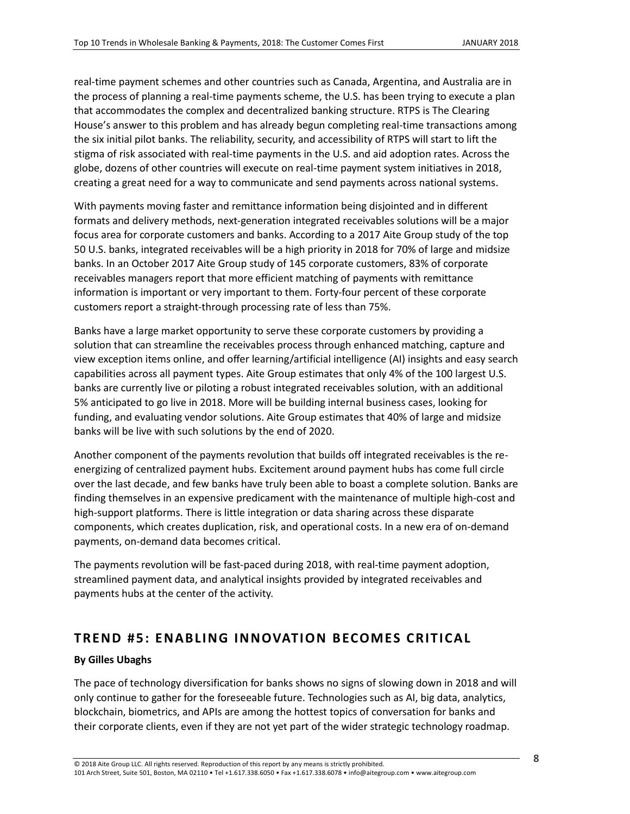real-time payment schemes and other countries such as Canada, Argentina, and Australia are in the process of planning a real-time payments scheme, the U.S. has been trying to execute a plan that accommodates the complex and decentralized banking structure. RTPS is The Clearing House's answer to this problem and has already begun completing real-time transactions among the six initial pilot banks. The reliability, security, and accessibility of RTPS will start to lift the stigma of risk associated with real-time payments in the U.S. and aid adoption rates. Across the globe, dozens of other countries will execute on real-time payment system initiatives in 2018, creating a great need for a way to communicate and send payments across national systems.

With payments moving faster and remittance information being disjointed and in different formats and delivery methods, next-generation integrated receivables solutions will be a major focus area for corporate customers and banks. According to a 2017 Aite Group study of the top 50 U.S. banks, integrated receivables will be a high priority in 2018 for 70% of large and midsize banks. In an October 2017 Aite Group study of 145 corporate customers, 83% of corporate receivables managers report that more efficient matching of payments with remittance information is important or very important to them. Forty-four percent of these corporate customers report a straight-through processing rate of less than 75%.

Banks have a large market opportunity to serve these corporate customers by providing a solution that can streamline the receivables process through enhanced matching, capture and view exception items online, and offer learning/artificial intelligence (AI) insights and easy search capabilities across all payment types. Aite Group estimates that only 4% of the 100 largest U.S. banks are currently live or piloting a robust integrated receivables solution, with an additional 5% anticipated to go live in 2018. More will be building internal business cases, looking for funding, and evaluating vendor solutions. Aite Group estimates that 40% of large and midsize banks will be live with such solutions by the end of 2020.

Another component of the payments revolution that builds off integrated receivables is the reenergizing of centralized payment hubs. Excitement around payment hubs has come full circle over the last decade, and few banks have truly been able to boast a complete solution. Banks are finding themselves in an expensive predicament with the maintenance of multiple high-cost and high-support platforms. There is little integration or data sharing across these disparate components, which creates duplication, risk, and operational costs. In a new era of on-demand payments, on-demand data becomes critical.

The payments revolution will be fast-paced during 2018, with real-time payment adoption, streamlined payment data, and analytical insights provided by integrated receivables and payments hubs at the center of the activity.

### <span id="page-7-0"></span>**TREND #5: ENABLING INNOVATION BECOMES CRITICAL**

#### **By Gilles Ubaghs**

The pace of technology diversification for banks shows no signs of slowing down in 2018 and will only continue to gather for the foreseeable future. Technologies such as AI, big data, analytics, blockchain, biometrics, and APIs are among the hottest topics of conversation for banks and their corporate clients, even if they are not yet part of the wider strategic technology roadmap.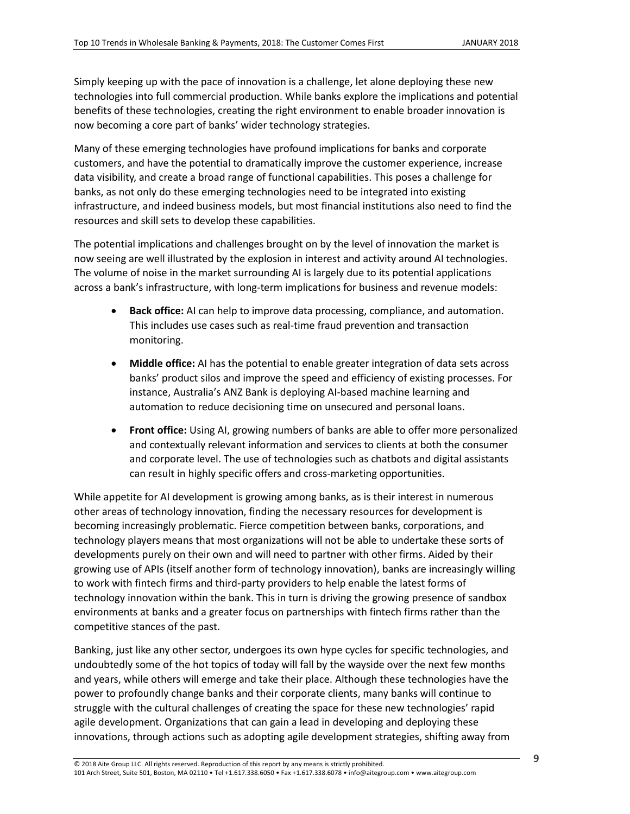Simply keeping up with the pace of innovation is a challenge, let alone deploying these new technologies into full commercial production. While banks explore the implications and potential benefits of these technologies, creating the right environment to enable broader innovation is now becoming a core part of banks' wider technology strategies.

Many of these emerging technologies have profound implications for banks and corporate customers, and have the potential to dramatically improve the customer experience, increase data visibility, and create a broad range of functional capabilities. This poses a challenge for banks, as not only do these emerging technologies need to be integrated into existing infrastructure, and indeed business models, but most financial institutions also need to find the resources and skill sets to develop these capabilities.

The potential implications and challenges brought on by the level of innovation the market is now seeing are well illustrated by the explosion in interest and activity around AI technologies. The volume of noise in the market surrounding AI is largely due to its potential applications across a bank's infrastructure, with long-term implications for business and revenue models:

- **Back office:** AI can help to improve data processing, compliance, and automation. This includes use cases such as real-time fraud prevention and transaction monitoring.
- **Middle office:** AI has the potential to enable greater integration of data sets across banks' product silos and improve the speed and efficiency of existing processes. For instance, Australia's ANZ Bank is deploying AI-based machine learning and automation to reduce decisioning time on unsecured and personal loans.
- **Front office:** Using AI, growing numbers of banks are able to offer more personalized and contextually relevant information and services to clients at both the consumer and corporate level. The use of technologies such as chatbots and digital assistants can result in highly specific offers and cross-marketing opportunities.

While appetite for AI development is growing among banks, as is their interest in numerous other areas of technology innovation, finding the necessary resources for development is becoming increasingly problematic. Fierce competition between banks, corporations, and technology players means that most organizations will not be able to undertake these sorts of developments purely on their own and will need to partner with other firms. Aided by their growing use of APIs (itself another form of technology innovation), banks are increasingly willing to work with fintech firms and third-party providers to help enable the latest forms of technology innovation within the bank. This in turn is driving the growing presence of sandbox environments at banks and a greater focus on partnerships with fintech firms rather than the competitive stances of the past.

Banking, just like any other sector, undergoes its own hype cycles for specific technologies, and undoubtedly some of the hot topics of today will fall by the wayside over the next few months and years, while others will emerge and take their place. Although these technologies have the power to profoundly change banks and their corporate clients, many banks will continue to struggle with the cultural challenges of creating the space for these new technologies' rapid agile development. Organizations that can gain a lead in developing and deploying these innovations, through actions such as adopting agile development strategies, shifting away from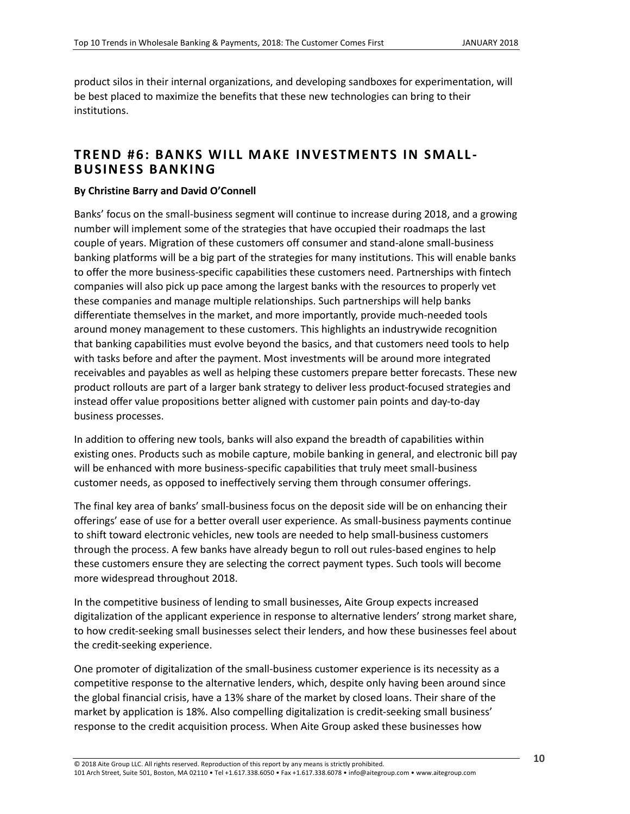product silos in their internal organizations, and developing sandboxes for experimentation, will be best placed to maximize the benefits that these new technologies can bring to their institutions.

### <span id="page-9-0"></span>**TREND #6: BANKS WILL MAKE INVESTMENTS IN SMALL - BUSINESS BANKING**

#### **By Christine Barry and David O'Connell**

Banks' focus on the small-business segment will continue to increase during 2018, and a growing number will implement some of the strategies that have occupied their roadmaps the last couple of years. Migration of these customers off consumer and stand-alone small-business banking platforms will be a big part of the strategies for many institutions. This will enable banks to offer the more business-specific capabilities these customers need. Partnerships with fintech companies will also pick up pace among the largest banks with the resources to properly vet these companies and manage multiple relationships. Such partnerships will help banks differentiate themselves in the market, and more importantly, provide much-needed tools around money management to these customers. This highlights an industrywide recognition that banking capabilities must evolve beyond the basics, and that customers need tools to help with tasks before and after the payment. Most investments will be around more integrated receivables and payables as well as helping these customers prepare better forecasts. These new product rollouts are part of a larger bank strategy to deliver less product-focused strategies and instead offer value propositions better aligned with customer pain points and day-to-day business processes.

In addition to offering new tools, banks will also expand the breadth of capabilities within existing ones. Products such as mobile capture, mobile banking in general, and electronic bill pay will be enhanced with more business-specific capabilities that truly meet small-business customer needs, as opposed to ineffectively serving them through consumer offerings.

The final key area of banks' small-business focus on the deposit side will be on enhancing their offerings' ease of use for a better overall user experience. As small-business payments continue to shift toward electronic vehicles, new tools are needed to help small-business customers through the process. A few banks have already begun to roll out rules-based engines to help these customers ensure they are selecting the correct payment types. Such tools will become more widespread throughout 2018.

In the competitive business of lending to small businesses, Aite Group expects increased digitalization of the applicant experience in response to alternative lenders' strong market share, to how credit-seeking small businesses select their lenders, and how these businesses feel about the credit-seeking experience.

One promoter of digitalization of the small-business customer experience is its necessity as a competitive response to the alternative lenders, which, despite only having been around since the global financial crisis, have a 13% share of the market by closed loans. Their share of the market by application is 18%. Also compelling digitalization is credit-seeking small business' response to the credit acquisition process. When Aite Group asked these businesses how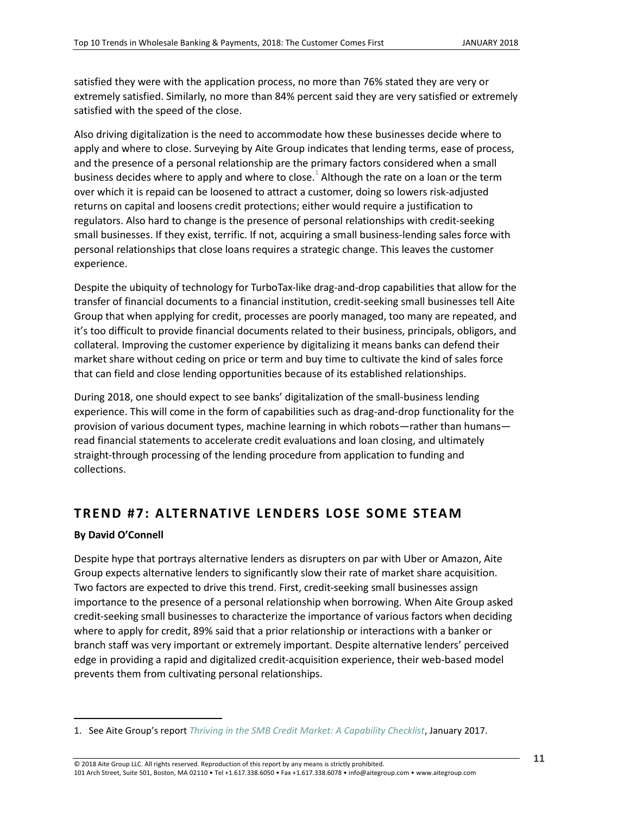satisfied they were with the application process, no more than 76% stated they are very or extremely satisfied. Similarly, no more than 84% percent said they are very satisfied or extremely satisfied with the speed of the close.

Also driving digitalization is the need to accommodate how these businesses decide where to apply and where to close. Surveying by Aite Group indicates that lending terms, ease of process, and the presence of a personal relationship are the primary factors considered when a small business decides where to apply and where to close. $^1$  Although the rate on a loan or the term over which it is repaid can be loosened to attract a customer, doing so lowers risk-adjusted returns on capital and loosens credit protections; either would require a justification to regulators. Also hard to change is the presence of personal relationships with credit-seeking small businesses. If they exist, terrific. If not, acquiring a small business-lending sales force with personal relationships that close loans requires a strategic change. This leaves the customer experience.

Despite the ubiquity of technology for TurboTax-like drag-and-drop capabilities that allow for the transfer of financial documents to a financial institution, credit-seeking small businesses tell Aite Group that when applying for credit, processes are poorly managed, too many are repeated, and it's too difficult to provide financial documents related to their business, principals, obligors, and collateral. Improving the customer experience by digitalizing it means banks can defend their market share without ceding on price or term and buy time to cultivate the kind of sales force that can field and close lending opportunities because of its established relationships.

During 2018, one should expect to see banks' digitalization of the small-business lending experience. This will come in the form of capabilities such as drag-and-drop functionality for the provision of various document types, machine learning in which robots—rather than humans read financial statements to accelerate credit evaluations and loan closing, and ultimately straight-through processing of the lending procedure from application to funding and collections.

### <span id="page-10-0"></span>**TREND #7: ALTERNATIVE LENDERS LOSE SOME STEAM**

#### **By David O'Connell**

 $\overline{\phantom{a}}$ 

Despite hype that portrays alternative lenders as disrupters on par with Uber or Amazon, Aite Group expects alternative lenders to significantly slow their rate of market share acquisition. Two factors are expected to drive this trend. First, credit-seeking small businesses assign importance to the presence of a personal relationship when borrowing. When Aite Group asked credit-seeking small businesses to characterize the importance of various factors when deciding where to apply for credit, 89% said that a prior relationship or interactions with a banker or branch staff was very important or extremely important. Despite alternative lenders' perceived edge in providing a rapid and digitalized credit-acquisition experience, their web-based model prevents them from cultivating personal relationships.

<sup>1.</sup> See Aite Group's report *[Thriving in the SMB Credit Market: A Capability Checklist](https://aitegroup.com/report/thriving-smb-credit-market-capability-checklist)*, January 2017.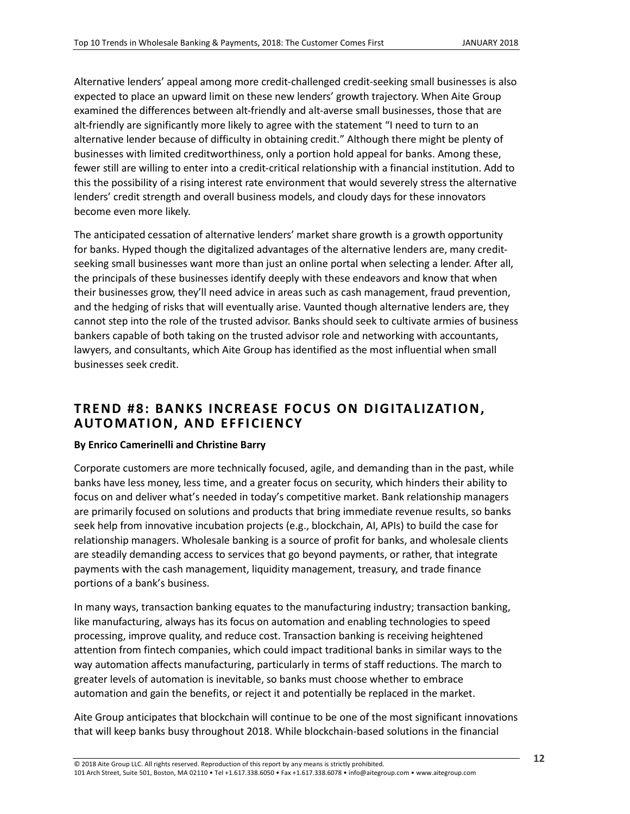Alternative lenders' appeal among more credit-challenged credit-seeking small businesses is also expected to place an upward limit on these new lenders' growth trajectory. When Aite Group examined the differences between alt-friendly and alt-averse small businesses, those that are alt-friendly are significantly more likely to agree with the statement "I need to turn to an alternative lender because of difficulty in obtaining credit." Although there might be plenty of businesses with limited creditworthiness, only a portion hold appeal for banks. Among these, fewer still are willing to enter into a credit-critical relationship with a financial institution. Add to this the possibility of a rising interest rate environment that would severely stress the alternative lenders' credit strength and overall business models, and cloudy days for these innovators become even more likely.

The anticipated cessation of alternative lenders' market share growth is a growth opportunity for banks. Hyped though the digitalized advantages of the alternative lenders are, many creditseeking small businesses want more than just an online portal when selecting a lender. After all, the principals of these businesses identify deeply with these endeavors and know that when their businesses grow, they'll need advice in areas such as cash management, fraud prevention, and the hedging of risks that will eventually arise. Vaunted though alternative lenders are, they cannot step into the role of the trusted advisor. Banks should seek to cultivate armies of business bankers capable of both taking on the trusted advisor role and networking with accountants, lawyers, and consultants, which Aite Group has identified as the most influential when small businesses seek credit.

### <span id="page-11-0"></span>**TREND #8: BANKS INCREASE FOCUS ON DIGITALIZATION, AUTOMATION, AND EFFICIENCY**

#### **By Enrico Camerinelli and Christine Barry**

Corporate customers are more technically focused, agile, and demanding than in the past, while banks have less money, less time, and a greater focus on security, which hinders their ability to focus on and deliver what's needed in today's competitive market. Bank relationship managers are primarily focused on solutions and products that bring immediate revenue results, so banks seek help from innovative incubation projects (e.g., blockchain, AI, APIs) to build the case for relationship managers. Wholesale banking is a source of profit for banks, and wholesale clients are steadily demanding access to services that go beyond payments, or rather, that integrate payments with the cash management, liquidity management, treasury, and trade finance portions of a bank's business.

In many ways, transaction banking equates to the manufacturing industry; transaction banking, like manufacturing, always has its focus on automation and enabling technologies to speed processing, improve quality, and reduce cost. Transaction banking is receiving heightened attention from fintech companies, which could impact traditional banks in similar ways to the way automation affects manufacturing, particularly in terms of staff reductions. The march to greater levels of automation is inevitable, so banks must choose whether to embrace automation and gain the benefits, or reject it and potentially be replaced in the market.

Aite Group anticipates that blockchain will continue to be one of the most significant innovations that will keep banks busy throughout 2018. While blockchain-based solutions in the financial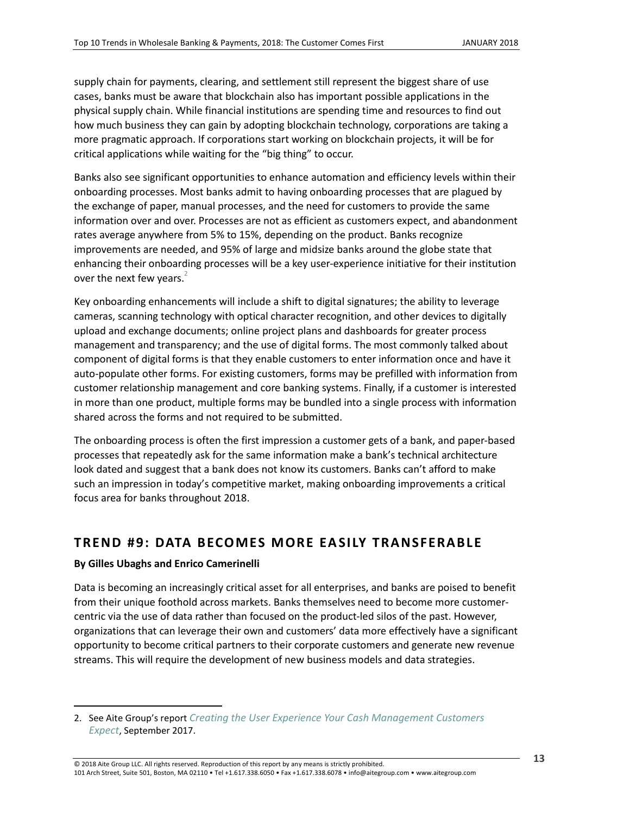supply chain for payments, clearing, and settlement still represent the biggest share of use cases, banks must be aware that blockchain also has important possible applications in the physical supply chain. While financial institutions are spending time and resources to find out how much business they can gain by adopting blockchain technology, corporations are taking a more pragmatic approach. If corporations start working on blockchain projects, it will be for critical applications while waiting for the "big thing" to occur.

Banks also see significant opportunities to enhance automation and efficiency levels within their onboarding processes. Most banks admit to having onboarding processes that are plagued by the exchange of paper, manual processes, and the need for customers to provide the same information over and over. Processes are not as efficient as customers expect, and abandonment rates average anywhere from 5% to 15%, depending on the product. Banks recognize improvements are needed, and 95% of large and midsize banks around the globe state that enhancing their onboarding processes will be a key user-experience initiative for their institution over the next few years.<sup>2</sup>

Key onboarding enhancements will include a shift to digital signatures; the ability to leverage cameras, scanning technology with optical character recognition, and other devices to digitally upload and exchange documents; online project plans and dashboards for greater process management and transparency; and the use of digital forms. The most commonly talked about component of digital forms is that they enable customers to enter information once and have it auto-populate other forms. For existing customers, forms may be prefilled with information from customer relationship management and core banking systems. Finally, if a customer is interested in more than one product, multiple forms may be bundled into a single process with information shared across the forms and not required to be submitted.

The onboarding process is often the first impression a customer gets of a bank, and paper-based processes that repeatedly ask for the same information make a bank's technical architecture look dated and suggest that a bank does not know its customers. Banks can't afford to make such an impression in today's competitive market, making onboarding improvements a critical focus area for banks throughout 2018.

### <span id="page-12-0"></span>**TREND #9: DATA BECOMES MORE EASILY TRANSFERABLE**

#### **By Gilles Ubaghs and Enrico Camerinelli**

 $\overline{\phantom{a}}$ 

Data is becoming an increasingly critical asset for all enterprises, and banks are poised to benefit from their unique foothold across markets. Banks themselves need to become more customercentric via the use of data rather than focused on the product-led silos of the past. However, organizations that can leverage their own and customers' data more effectively have a significant opportunity to become critical partners to their corporate customers and generate new revenue streams. This will require the development of new business models and data strategies.

<sup>2.</sup> See Aite Group's report *[Creating the User Experience Your Cash Management Customers](https://www.aitegroup.com/report/creating-user-experience-your-cash-management-customers-expect)  [Expect](https://www.aitegroup.com/report/creating-user-experience-your-cash-management-customers-expect)*, September 2017.

<sup>© 2018</sup> Aite Group LLC. All rights reserved. Reproduction of this report by any means is strictly prohibited. 101 Arch Street, Suite 501, Boston, MA 02110 • Tel +1.617.338.6050 • Fax +1.617.338.6078 • info@aitegroup.com • www.aitegroup.com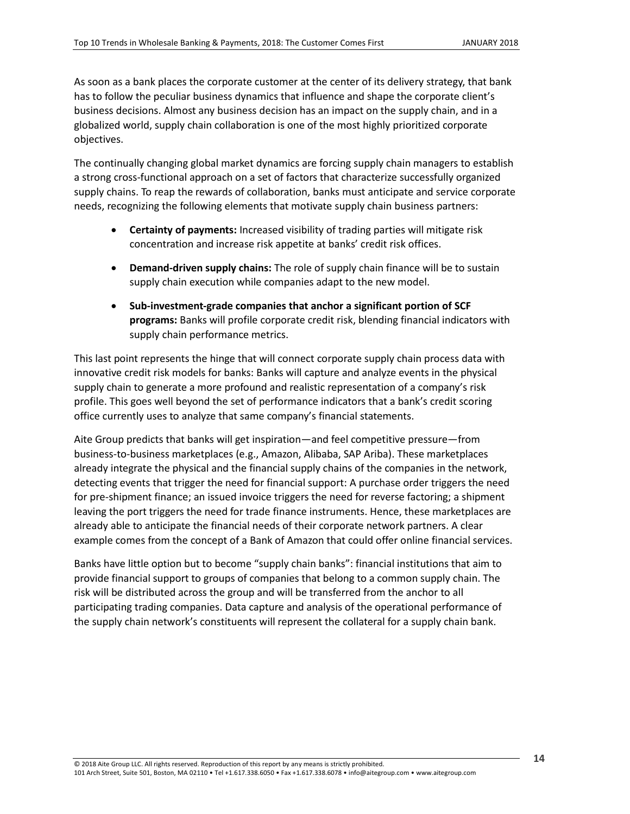As soon as a bank places the corporate customer at the center of its delivery strategy, that bank has to follow the peculiar business dynamics that influence and shape the corporate client's business decisions. Almost any business decision has an impact on the supply chain, and in a globalized world, supply chain collaboration is one of the most highly prioritized corporate objectives.

The continually changing global market dynamics are forcing supply chain managers to establish a strong cross-functional approach on a set of factors that characterize successfully organized supply chains. To reap the rewards of collaboration, banks must anticipate and service corporate needs, recognizing the following elements that motivate supply chain business partners:

- **Certainty of payments:** Increased visibility of trading parties will mitigate risk concentration and increase risk appetite at banks' credit risk offices.
- **Demand-driven supply chains:** The role of supply chain finance will be to sustain supply chain execution while companies adapt to the new model.
- x **Sub-investment-grade companies that anchor a significant portion of SCF programs:** Banks will profile corporate credit risk, blending financial indicators with supply chain performance metrics.

This last point represents the hinge that will connect corporate supply chain process data with innovative credit risk models for banks: Banks will capture and analyze events in the physical supply chain to generate a more profound and realistic representation of a company's risk profile. This goes well beyond the set of performance indicators that a bank's credit scoring office currently uses to analyze that same company's financial statements.

Aite Group predicts that banks will get inspiration—and feel competitive pressure—from business-to-business marketplaces (e.g., Amazon, Alibaba, SAP Ariba). These marketplaces already integrate the physical and the financial supply chains of the companies in the network, detecting events that trigger the need for financial support: A purchase order triggers the need for pre-shipment finance; an issued invoice triggers the need for reverse factoring; a shipment leaving the port triggers the need for trade finance instruments. Hence, these marketplaces are already able to anticipate the financial needs of their corporate network partners. A clear example comes from the concept of a Bank of Amazon that could offer online financial services.

Banks have little option but to become "supply chain banks": financial institutions that aim to provide financial support to groups of companies that belong to a common supply chain. The risk will be distributed across the group and will be transferred from the anchor to all participating trading companies. Data capture and analysis of the operational performance of the supply chain network's constituents will represent the collateral for a supply chain bank.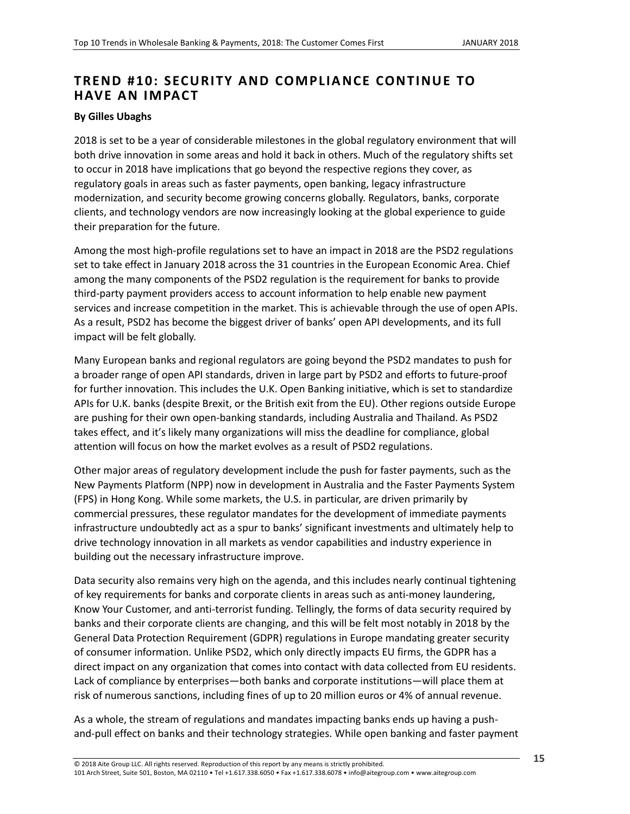# <span id="page-14-0"></span>**TREND #10: SECURITY AND COMPLIANCE CONTINUE TO HAVE AN IMPACT**

#### **By Gilles Ubaghs**

2018 is set to be a year of considerable milestones in the global regulatory environment that will both drive innovation in some areas and hold it back in others. Much of the regulatory shifts set to occur in 2018 have implications that go beyond the respective regions they cover, as regulatory goals in areas such as faster payments, open banking, legacy infrastructure modernization, and security become growing concerns globally. Regulators, banks, corporate clients, and technology vendors are now increasingly looking at the global experience to guide their preparation for the future.

Among the most high-profile regulations set to have an impact in 2018 are the PSD2 regulations set to take effect in January 2018 across the 31 countries in the European Economic Area. Chief among the many components of the PSD2 regulation is the requirement for banks to provide third-party payment providers access to account information to help enable new payment services and increase competition in the market. This is achievable through the use of open APIs. As a result, PSD2 has become the biggest driver of banks' open API developments, and its full impact will be felt globally.

Many European banks and regional regulators are going beyond the PSD2 mandates to push for a broader range of open API standards, driven in large part by PSD2 and efforts to future-proof for further innovation. This includes the U.K. Open Banking initiative, which is set to standardize APIs for U.K. banks (despite Brexit, or the British exit from the EU). Other regions outside Europe are pushing for their own open-banking standards, including Australia and Thailand. As PSD2 takes effect, and it's likely many organizations will miss the deadline for compliance, global attention will focus on how the market evolves as a result of PSD2 regulations.

Other major areas of regulatory development include the push for faster payments, such as the New Payments Platform (NPP) now in development in Australia and the Faster Payments System (FPS) in Hong Kong. While some markets, the U.S. in particular, are driven primarily by commercial pressures, these regulator mandates for the development of immediate payments infrastructure undoubtedly act as a spur to banks' significant investments and ultimately help to drive technology innovation in all markets as vendor capabilities and industry experience in building out the necessary infrastructure improve.

Data security also remains very high on the agenda, and this includes nearly continual tightening of key requirements for banks and corporate clients in areas such as anti-money laundering, Know Your Customer, and anti-terrorist funding. Tellingly, the forms of data security required by banks and their corporate clients are changing, and this will be felt most notably in 2018 by the General Data Protection Requirement (GDPR) regulations in Europe mandating greater security of consumer information. Unlike PSD2, which only directly impacts EU firms, the GDPR has a direct impact on any organization that comes into contact with data collected from EU residents. Lack of compliance by enterprises—both banks and corporate institutions—will place them at risk of numerous sanctions, including fines of up to 20 million euros or 4% of annual revenue.

As a whole, the stream of regulations and mandates impacting banks ends up having a pushand-pull effect on banks and their technology strategies. While open banking and faster payment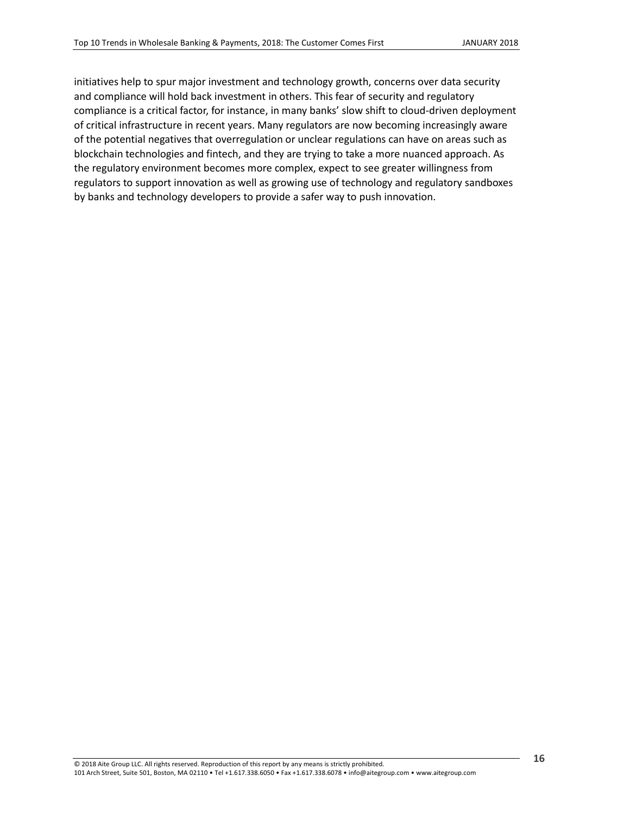initiatives help to spur major investment and technology growth, concerns over data security and compliance will hold back investment in others. This fear of security and regulatory compliance is a critical factor, for instance, in many banks' slow shift to cloud-driven deployment of critical infrastructure in recent years. Many regulators are now becoming increasingly aware of the potential negatives that overregulation or unclear regulations can have on areas such as blockchain technologies and fintech, and they are trying to take a more nuanced approach. As the regulatory environment becomes more complex, expect to see greater willingness from regulators to support innovation as well as growing use of technology and regulatory sandboxes by banks and technology developers to provide a safer way to push innovation.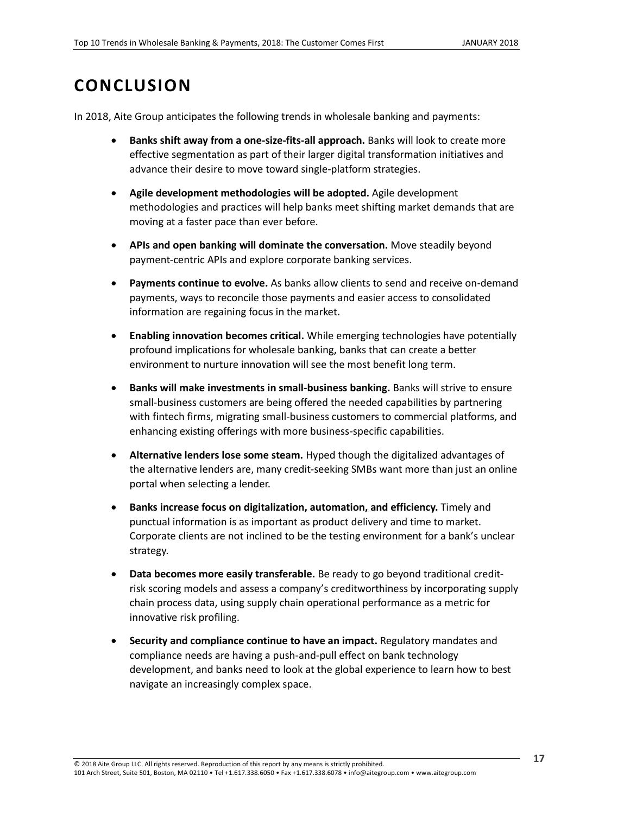# <span id="page-16-0"></span>**CONCLUSION**

In 2018, Aite Group anticipates the following trends in wholesale banking and payments:

- **Banks shift away from a one-size-fits-all approach.** Banks will look to create more effective segmentation as part of their larger digital transformation initiatives and advance their desire to move toward single-platform strategies.
- x **Agile development methodologies will be adopted.** Agile development methodologies and practices will help banks meet shifting market demands that are moving at a faster pace than ever before.
- **APIs and open banking will dominate the conversation.** Move steadily beyond payment-centric APIs and explore corporate banking services.
- Payments continue to evolve. As banks allow clients to send and receive on-demand payments, ways to reconcile those payments and easier access to consolidated information are regaining focus in the market.
- **Enabling innovation becomes critical.** While emerging technologies have potentially profound implications for wholesale banking, banks that can create a better environment to nurture innovation will see the most benefit long term.
- **Banks will make investments in small-business banking.** Banks will strive to ensure small-business customers are being offered the needed capabilities by partnering with fintech firms, migrating small-business customers to commercial platforms, and enhancing existing offerings with more business-specific capabilities.
- **Alternative lenders lose some steam.** Hyped though the digitalized advantages of the alternative lenders are, many credit-seeking SMBs want more than just an online portal when selecting a lender.
- x **Banks increase focus on digitalization, automation, and efficiency.** Timely and punctual information is as important as product delivery and time to market. Corporate clients are not inclined to be the testing environment for a bank's unclear strategy.
- **Data becomes more easily transferable.** Be ready to go beyond traditional creditrisk scoring models and assess a company's creditworthiness by incorporating supply chain process data, using supply chain operational performance as a metric for innovative risk profiling.
- **Example 2** Security and compliance continue to have an impact. Regulatory mandates and compliance needs are having a push-and-pull effect on bank technology development, and banks need to look at the global experience to learn how to best navigate an increasingly complex space.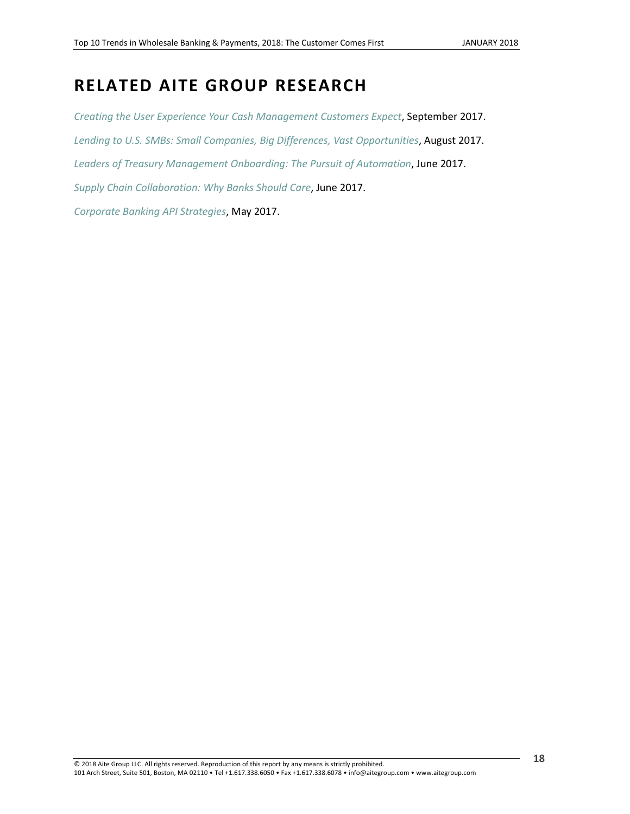# <span id="page-17-0"></span>**RELATED AITE GROUP RESEARCH**

*[Creating the User Experience Your Cash Management Customers Expect](https://www.aitegroup.com/report/creating-user-experience-your-cash-management-customers-expect)*, September 2017. *[Lending to U.S. SMBs: Small Companies, Big](https://www.aitegroup.com/report/lending-us-smbs-small-companies-big-differences-vast-opportunities) Differences, Vast Opportunities*, August 2017. *[Leaders of Treasury Management Onboarding: The Pursuit of Automation](http://aitegroup.com/report/leaders-treasury-management-onboarding-pursuit-automation)*, June 2017. *[Supply Chain Collaboration: Why Banks Should Care](https://www.aitegroup.com/report/supply-chain-collaboration-why-banks-should-care)*, June 2017. *[Corporate Banking API Strategies](http://www.aitegroup.com/report/corporate-banking-api-strategies)*, May 2017.